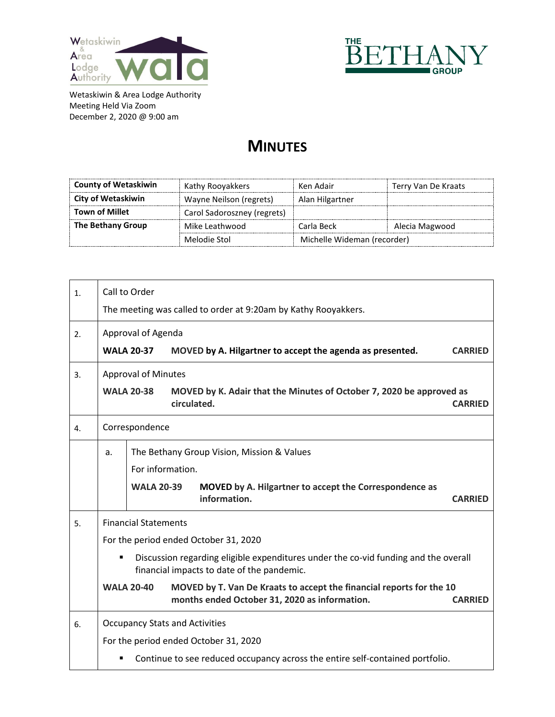



Wetaskiwin & Area Lodge Authority Meeting Held Via Zoom December 2, 2020 @ 9:00 am

## **MINUTES**

| <b>County of Wetaskiwin</b> | Kathy Rooyakkers            | Ken Adair                   | Terry Van De Kraats |
|-----------------------------|-----------------------------|-----------------------------|---------------------|
| <b>City of Wetaskiwin</b>   | Wayne Neilson (regrets)     | Alan Hilgartner             |                     |
| <b>Town of Millet</b>       | Carol Sadoroszney (regrets) |                             |                     |
| The Bethany Group           | Mike Leathwood              | Carla Beck                  | Alecia Magwood      |
|                             | Melodie Stol                | Michelle Wideman (recorder) |                     |

| 1. | Call to Order                                                                                                                     |                                                                                                                                                              |  |  |  |
|----|-----------------------------------------------------------------------------------------------------------------------------------|--------------------------------------------------------------------------------------------------------------------------------------------------------------|--|--|--|
|    | The meeting was called to order at 9:20am by Kathy Rooyakkers.                                                                    |                                                                                                                                                              |  |  |  |
| 2. | Approval of Agenda                                                                                                                |                                                                                                                                                              |  |  |  |
|    |                                                                                                                                   | <b>WALA 20-37</b><br>MOVED by A. Hilgartner to accept the agenda as presented.<br><b>CARRIED</b>                                                             |  |  |  |
| 3. | <b>Approval of Minutes</b>                                                                                                        |                                                                                                                                                              |  |  |  |
|    |                                                                                                                                   | <b>WALA 20-38</b><br>MOVED by K. Adair that the Minutes of October 7, 2020 be approved as<br>circulated.<br><b>CARRIED</b>                                   |  |  |  |
| 4. | Correspondence                                                                                                                    |                                                                                                                                                              |  |  |  |
|    | a.                                                                                                                                | The Bethany Group Vision, Mission & Values<br>For information.                                                                                               |  |  |  |
|    |                                                                                                                                   | <b>WALA 20-39</b><br>MOVED by A. Hilgartner to accept the Correspondence as<br>information.<br><b>CARRIED</b>                                                |  |  |  |
| 5. |                                                                                                                                   | <b>Financial Statements</b>                                                                                                                                  |  |  |  |
|    | For the period ended October 31, 2020                                                                                             |                                                                                                                                                              |  |  |  |
|    | Discussion regarding eligible expenditures under the co-vid funding and the overall<br>financial impacts to date of the pandemic. |                                                                                                                                                              |  |  |  |
|    |                                                                                                                                   | <b>WALA 20-40</b><br>MOVED by T. Van De Kraats to accept the financial reports for the 10<br>months ended October 31, 2020 as information.<br><b>CARRIED</b> |  |  |  |
| 6. |                                                                                                                                   | <b>Occupancy Stats and Activities</b>                                                                                                                        |  |  |  |
|    | For the period ended October 31, 2020                                                                                             |                                                                                                                                                              |  |  |  |
|    |                                                                                                                                   | Continue to see reduced occupancy across the entire self-contained portfolio.                                                                                |  |  |  |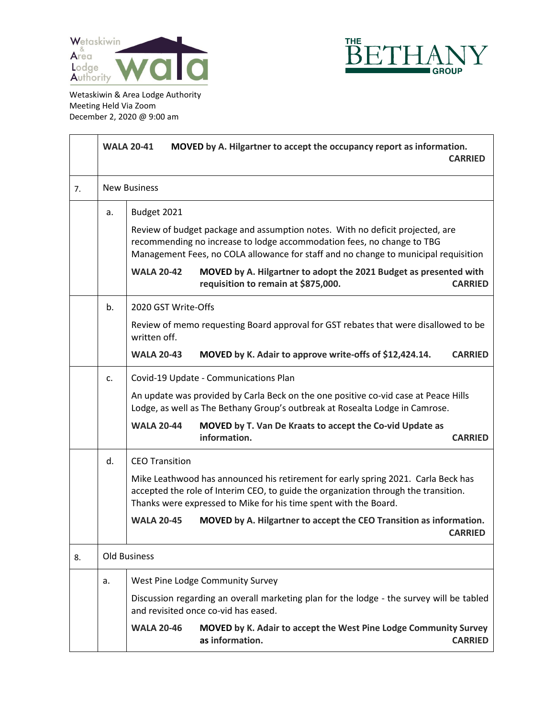



Wetaskiwin & Area Lodge Authority Meeting Held Via Zoom December 2, 2020 @ 9:00 am

|    | <b>WALA 20-41</b><br>MOVED by A. Hilgartner to accept the occupancy report as information.<br><b>CARRIED</b> |                                                                                                                                                                                                                                                               |                                                                                                                                                                                                                                              |                |  |  |
|----|--------------------------------------------------------------------------------------------------------------|---------------------------------------------------------------------------------------------------------------------------------------------------------------------------------------------------------------------------------------------------------------|----------------------------------------------------------------------------------------------------------------------------------------------------------------------------------------------------------------------------------------------|----------------|--|--|
| 7. |                                                                                                              | <b>New Business</b>                                                                                                                                                                                                                                           |                                                                                                                                                                                                                                              |                |  |  |
|    | a.                                                                                                           | Budget 2021<br>Review of budget package and assumption notes. With no deficit projected, are<br>recommending no increase to lodge accommodation fees, no change to TBG<br>Management Fees, no COLA allowance for staff and no change to municipal requisition |                                                                                                                                                                                                                                              |                |  |  |
|    |                                                                                                              |                                                                                                                                                                                                                                                               |                                                                                                                                                                                                                                              |                |  |  |
|    |                                                                                                              | <b>WALA 20-42</b>                                                                                                                                                                                                                                             | MOVED by A. Hilgartner to adopt the 2021 Budget as presented with<br>requisition to remain at \$875,000.                                                                                                                                     | <b>CARRIED</b> |  |  |
|    | b.                                                                                                           | 2020 GST Write-Offs                                                                                                                                                                                                                                           |                                                                                                                                                                                                                                              |                |  |  |
|    |                                                                                                              | Review of memo requesting Board approval for GST rebates that were disallowed to be<br>written off.                                                                                                                                                           |                                                                                                                                                                                                                                              |                |  |  |
|    |                                                                                                              | <b>WALA 20-43</b>                                                                                                                                                                                                                                             | MOVED by K. Adair to approve write-offs of \$12,424.14.                                                                                                                                                                                      | <b>CARRIED</b> |  |  |
|    | Covid-19 Update - Communications Plan<br>$C_{\star}$                                                         |                                                                                                                                                                                                                                                               |                                                                                                                                                                                                                                              |                |  |  |
|    |                                                                                                              | An update was provided by Carla Beck on the one positive co-vid case at Peace Hills<br>Lodge, as well as The Bethany Group's outbreak at Rosealta Lodge in Camrose.                                                                                           |                                                                                                                                                                                                                                              |                |  |  |
|    |                                                                                                              | <b>WALA 20-44</b>                                                                                                                                                                                                                                             | MOVED by T. Van De Kraats to accept the Co-vid Update as<br>information.                                                                                                                                                                     | <b>CARRIED</b> |  |  |
|    | d.                                                                                                           | <b>CEO Transition</b>                                                                                                                                                                                                                                         |                                                                                                                                                                                                                                              |                |  |  |
|    |                                                                                                              |                                                                                                                                                                                                                                                               | Mike Leathwood has announced his retirement for early spring 2021. Carla Beck has<br>accepted the role of Interim CEO, to guide the organization through the transition.<br>Thanks were expressed to Mike for his time spent with the Board. |                |  |  |
|    |                                                                                                              | <b>WALA 20-45</b>                                                                                                                                                                                                                                             | MOVED by A. Hilgartner to accept the CEO Transition as information.                                                                                                                                                                          | <b>CARRIED</b> |  |  |
| 8. |                                                                                                              | Old Business                                                                                                                                                                                                                                                  |                                                                                                                                                                                                                                              |                |  |  |
| a. |                                                                                                              |                                                                                                                                                                                                                                                               | West Pine Lodge Community Survey                                                                                                                                                                                                             |                |  |  |
|    |                                                                                                              | Discussion regarding an overall marketing plan for the lodge - the survey will be tabled<br>and revisited once co-vid has eased.                                                                                                                              |                                                                                                                                                                                                                                              |                |  |  |
|    |                                                                                                              | <b>WALA 20-46</b>                                                                                                                                                                                                                                             | MOVED by K. Adair to accept the West Pine Lodge Community Survey<br>as information.                                                                                                                                                          | <b>CARRIED</b> |  |  |